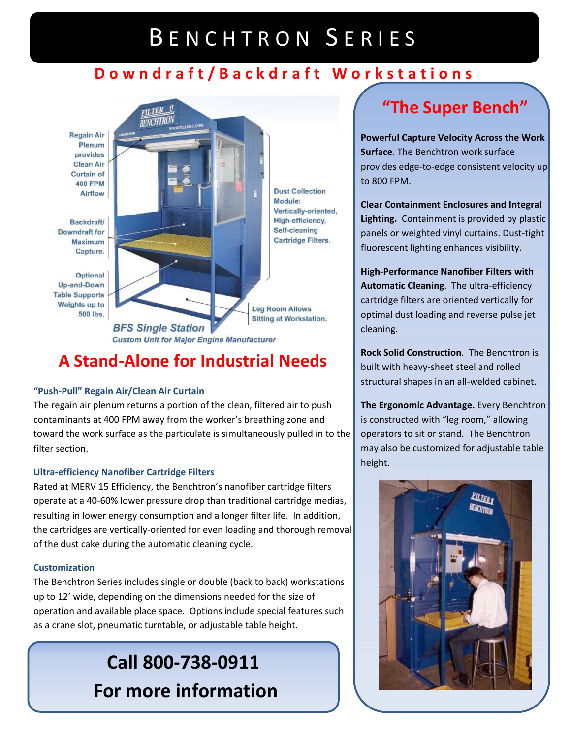# BENCHTRON SERIES

## **Downdraft/Backdraft Workstations**



## **A Stand‐Alone for Industrial Needs**

#### **"Push‐Pull" Regain Air/Clean Air Curtain**

The regain air plenum returns a portion of the clean, filtered air to push contaminants at 400 FPM away from the worker's breathing zone and toward the work surface as the particulate is simultaneously pulled in to the filter section.

### **Ultra‐efficiency Nanofiber Cartridge Filters**

Rated at MERV 15 Efficiency, the Benchtron's nanofiber cartridge filters operate at a 40‐60% lower pressure drop than traditional cartridge medias, resulting in lower energy consumption and a longer filter life. In addition, the cartridges are vertically‐oriented for even loading and thorough removal of the dust cake during the automatic cleaning cycle.

### **Customization**

The Benchtron Series includes single or double (back to back) workstations up to 12' wide, depending on the dimensions needed for the size of operation and available place space. Options include special features such as a crane slot, pneumatic turntable, or adjustable table height.

# **Call 800‐738‐0911 For more information**

# **"The Super Bench"**

**Powerful Capture Velocity Across the Work Surface**. The Benchtron work surface provides edge‐to‐edge consistent velocity up to 800 FPM.

**Clear Containment Enclosures and Integral Lighting.** Containment is provided by plastic panels or weighted vinyl curtains. Dust‐tight fluorescent lighting enhances visibility.

**High‐Performance Nanofiber Filters with Automatic Cleaning**. The ultra‐efficiency cartridge filters are oriented vertically for optimal dust loading and reverse pulse jet cleaning.

**Rock Solid Construction**. The Benchtron is built with heavy‐sheet steel and rolled structural shapes in an all‐welded cabinet.

**The Ergonomic Advantage.** Every Benchtron is constructed with "leg room," allowing operators to sit or stand. The Benchtron may also be customized for adjustable table height.